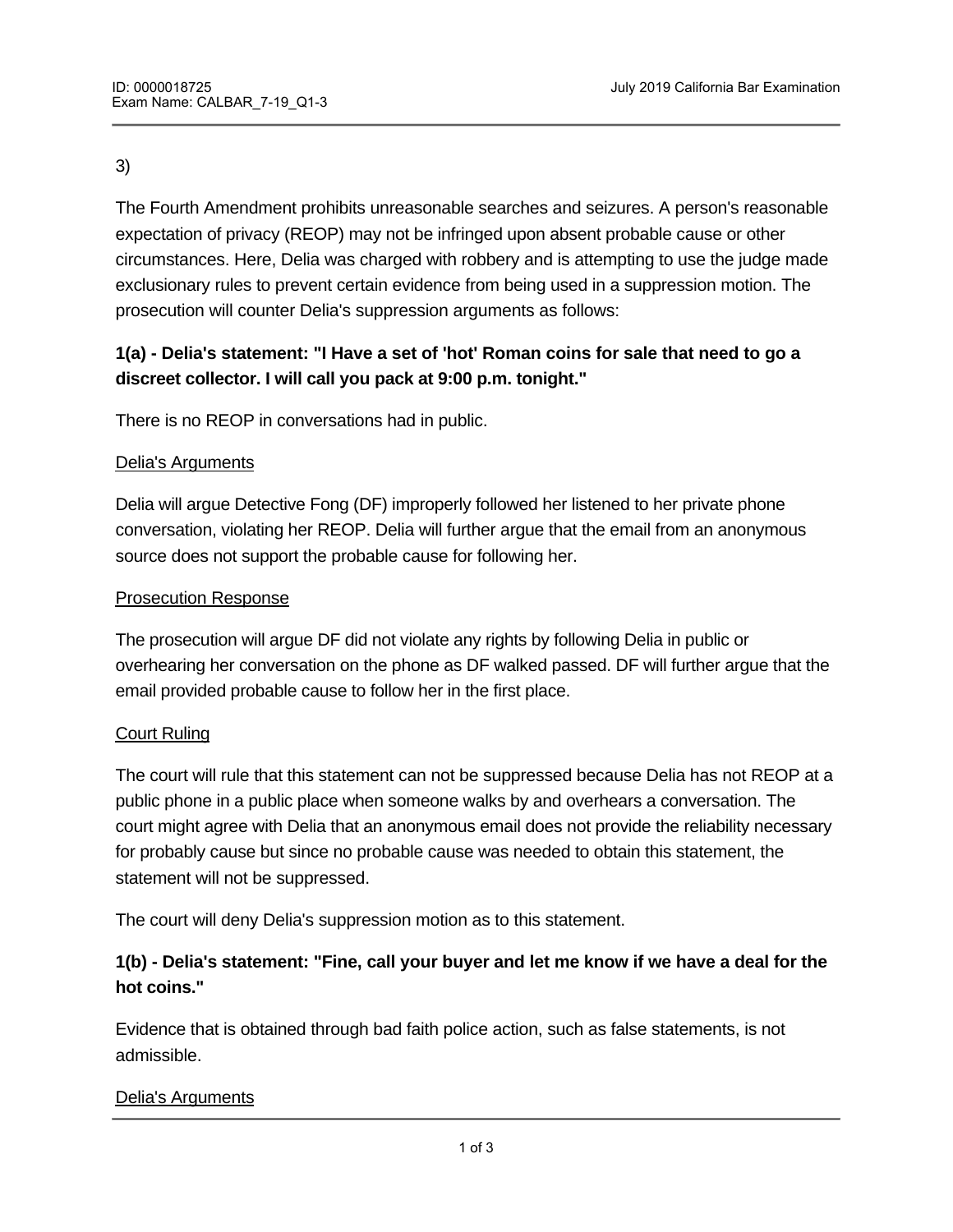### 3)

The Fourth Amendment prohibits unreasonable searches and seizures. A person's reasonable expectation of privacy (REOP) may not be infringed upon absent probable cause or other circumstances. Here, Delia was charged with robbery and is attempting to use the judge made exclusionary rules to prevent certain evidence from being used in a suppression motion. The prosecution will counter Delia's suppression arguments as follows:

# **1(a) - Delia's statement: "I Have a set of 'hot' Roman coins for sale that need to go a discreet collector. I will call you pack at 9:00 p.m. tonight."**

There is no REOP in conversations had in public.

### Delia's Arguments

Delia will argue Detective Fong (DF) improperly followed her listened to her private phone conversation, violating her REOP. Delia will further argue that the email from an anonymous source does not support the probable cause for following her.

### Prosecution Response

The prosecution will argue DF did not violate any rights by following Delia in public or overhearing her conversation on the phone as DF walked passed. DF will further argue that the email provided probable cause to follow her in the first place.

### Court Ruling

The court will rule that this statement can not be suppressed because Delia has not REOP at a public phone in a public place when someone walks by and overhears a conversation. The court might agree with Delia that an anonymous email does not provide the reliability necessary for probably cause but since no probable cause was needed to obtain this statement, the statement will not be suppressed.

The court will deny Delia's suppression motion as to this statement.

# **1(b) - Delia's statement: "Fine, call your buyer and let me know if we have a deal for the hot coins."**

Evidence that is obtained through bad faith police action, such as false statements, is not admissible.

### Delia's Arguments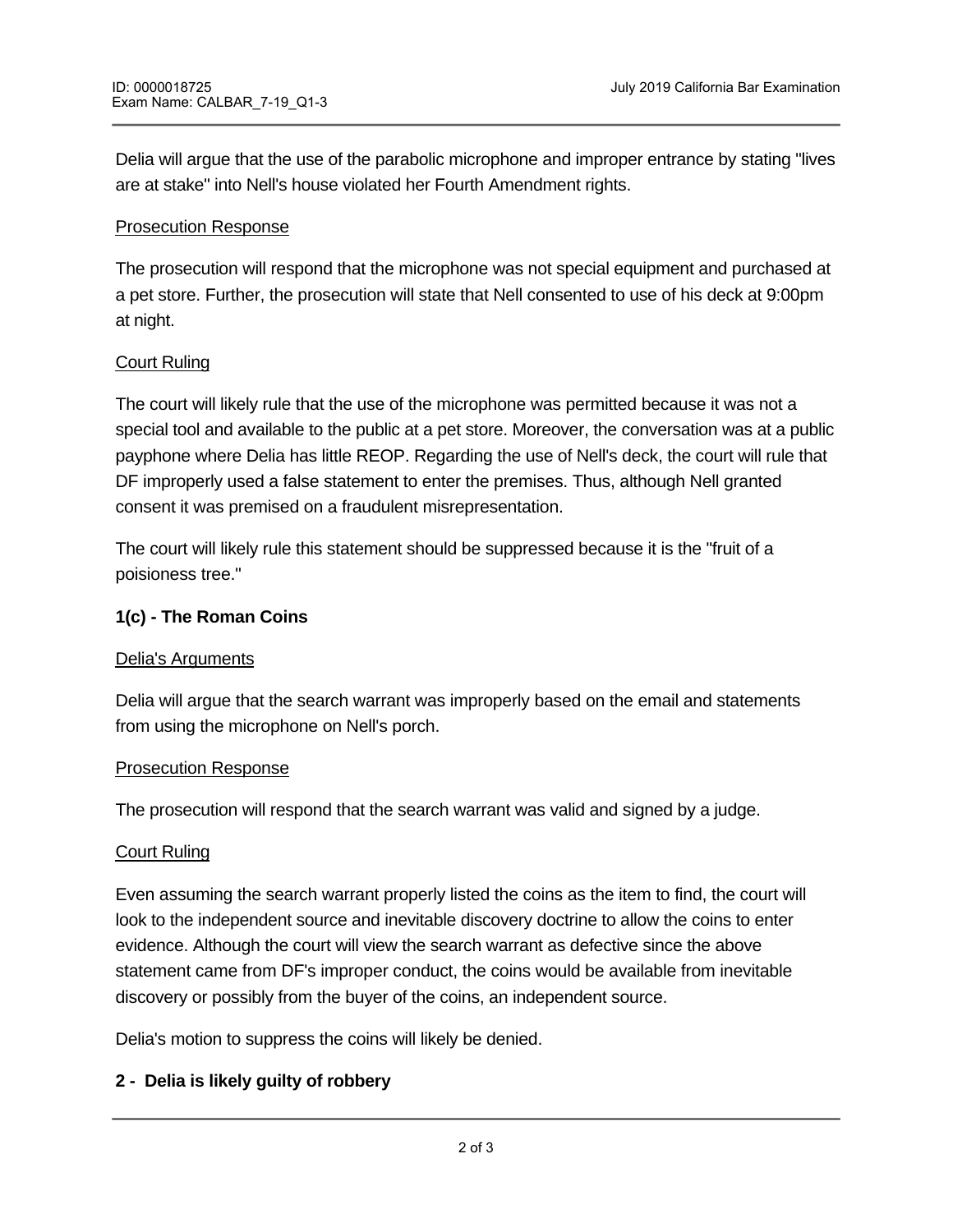Delia will argue that the use of the parabolic microphone and improper entrance by stating "lives are at stake" into Nell's house violated her Fourth Amendment rights.

## Prosecution Response

The prosecution will respond that the microphone was not special equipment and purchased at a pet store. Further, the prosecution will state that Nell consented to use of his deck at 9:00pm at night.

# Court Ruling

The court will likely rule that the use of the microphone was permitted because it was not a special tool and available to the public at a pet store. Moreover, the conversation was at a public payphone where Delia has little REOP. Regarding the use of Nell's deck, the court will rule that DF improperly used a false statement to enter the premises. Thus, although Nell granted consent it was premised on a fraudulent misrepresentation.

The court will likely rule this statement should be suppressed because it is the "fruit of a poisioness tree."

### **1(c) - The Roman Coins**

### Delia's Arguments

Delia will argue that the search warrant was improperly based on the email and statements from using the microphone on Nell's porch.

### Prosecution Response

The prosecution will respond that the search warrant was valid and signed by a judge.

### Court Ruling

Even assuming the search warrant properly listed the coins as the item to find, the court will look to the independent source and inevitable discovery doctrine to allow the coins to enter evidence. Although the court will view the search warrant as defective since the above statement came from DF's improper conduct, the coins would be available from inevitable discovery or possibly from the buyer of the coins, an independent source.

Delia's motion to suppress the coins will likely be denied.

### **2 - Delia is likely guilty of robbery**

Robbery is the trespassory taking away of the property of another with intent to deprive where